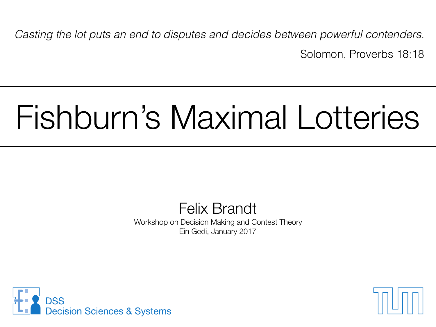*Casting the lot puts an end to disputes and decides between powerful contenders.*  — Solomon, Proverbs 18:18

#### Fishburn's Maximal Lotteries

Felix Brandt Workshop on Decision Making and Contest Theory Ein Gedi, January 2017



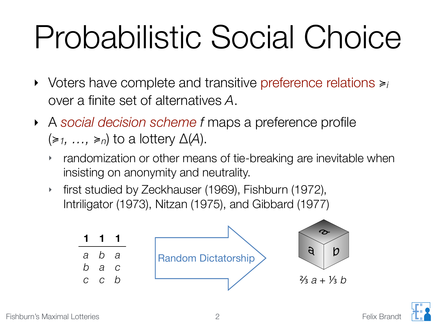#### Probabilistic Social Choice

- ‣ Voters have complete and transitive preference relations ≽*<sup>i</sup>* over a finite set of alternatives *A*.
- ‣ A *social decision scheme f* maps a preference profile  $(\geq 1, \ldots, \geq n)$  to a lottery  $\Delta(A)$ .
	- ‣ randomization or other means of tie-breaking are inevitable when insisting on anonymity and neutrality.
	- ‣ first studied by Zeckhauser (1969), Fishburn (1972), Intriligator (1973), Nitzan (1975), and Gibbard (1977)



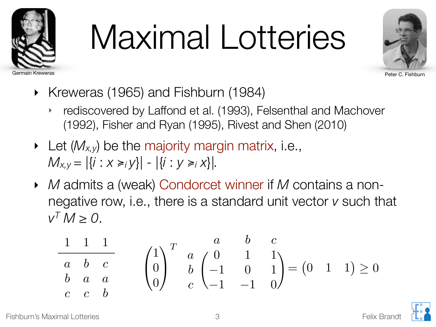

## Maximal Lotteries



- ‣ Kreweras (1965) and Fishburn (1984)
	- ‣ rediscovered by Laffond et al. (1993), Felsenthal and Machover (1992), Fisher and Ryan (1995), Rivest and Shen (2010)
- ‣ Let (*Mx,y*) be the majority margin matrix, i.e.,  $M_{X,Y} = |\{i : X \geq i \}|- |\{i : y \geq i \}|\}.$
- ‣ *M* admits a (weak) Condorcet winner if *M* contains a nonnegative row, i.e., there is a standard unit vector *v* such that  $V^T M > 0$ .

$$
\begin{array}{ccc}\n1 & 1 & 1 \\
\hline\na & b & c \\
b & a & a \\
c & c & b\n\end{array}\n\qquad\n\begin{pmatrix}\n1 \\
0 \\
0\n\end{pmatrix}\n\begin{array}{ccc}\na & b & c \\
a & 0 & 1 \\
b & -1 & 0 & 1 \\
c & -1 & -1 & 0\n\end{array}\n\begin{pmatrix}\nc & c & c \\
-1 & 0 & 1 \\
-1 & -1 & 0\n\end{pmatrix}\n=\n\begin{pmatrix}\n0 & 1 & 1\n\end{pmatrix}\n\ge 0
$$

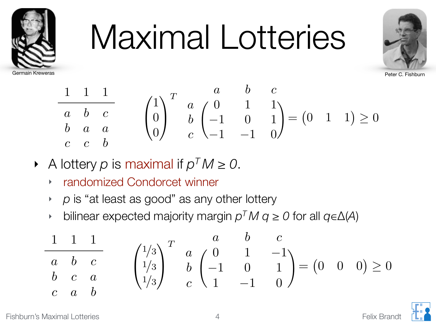

#### Maximal Lotteries



$$
\begin{array}{ccc}\n1 & 1 & 1 \\
\hline\na & b & c \\
b & a & a \\
c & c & b\n\end{array}\n\qquad\n\begin{pmatrix}\n1 \\
0 \\
0\n\end{pmatrix}\n\begin{array}{ccc}\na & b & c \\
a & 0 & 1 \\
b & -1 & 0 \\
c & -1 & -1\n\end{array}\n\begin{array}{ccc}\na & b & c \\
1 & 1 \\
0 & 1\n\end{array}\n\end{array}\n\ge 0
$$

- ‣ A lottery *p* is maximal if *pT M ≥ 0*.
	- ‣ randomized Condorcet winner
	- ‣ *p* is "at least as good" as any other lottery
	- ‣ bilinear expected majority margin *pT M q ≥ 0* for all *q*∈Δ(*A*)

$$
\begin{array}{ccc}\n1 & 1 & 1 \\
a & b & c \\
b & c & a \\
c & a & b\n\end{array}\n\qquad\n\begin{pmatrix}\n1/3 \\
1/3 \\
1/3\n\end{pmatrix}\n\begin{array}{ccc}\na & b & c \\
b & 0 & 1 & -1 \\
b & -1 & 0 & 1 \\
c & 1 & -1 & 0\n\end{array}\n\right) = (0 \quad 0 \quad 0) \ge 0
$$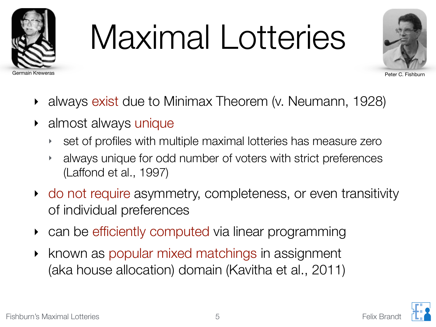

### Maximal Lotteries



- ‣ always exist due to Minimax Theorem (v. Neumann, 1928)
- almost always unique
	- ‣ set of profiles with multiple maximal lotteries has measure zero
	- ‣ always unique for odd number of voters with strict preferences (Laffond et al., 1997)
- ‣ do not require asymmetry, completeness, or even transitivity of individual preferences
- can be efficiently computed via linear programming
- ‣ known as popular mixed matchings in assignment (aka house allocation) domain (Kavitha et al., 2011)

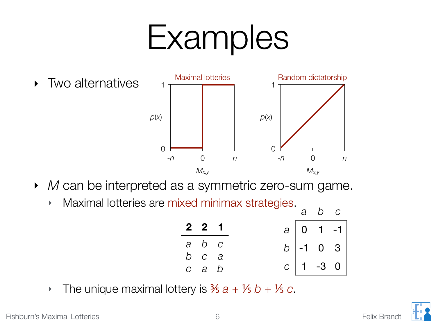#### Examples



- ‣ *M* can be interpreted as a symmetric zero-sum game.
	- ‣ Maximal lotteries are mixed minimax strategies.

| $2 \quad 2 \quad 1$ |  | $a \mid 0 \mid 1 \mid -1$ |  |
|---------------------|--|---------------------------|--|
| a b c               |  | $b$ -1 0 3                |  |
| $b$ $c$ $a$         |  |                           |  |
| $c$ a $b$           |  | $C$ 1 -3 0                |  |

*a b c*

• The unique maximal lottery is  $\frac{3}{5}a + \frac{1}{5}b + \frac{1}{5}c$ .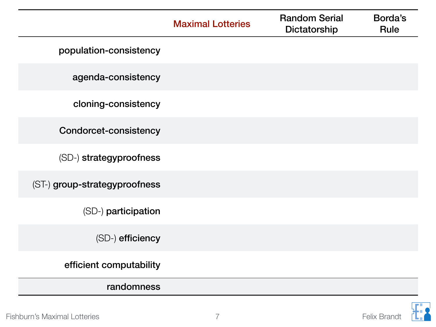|                               | <b>Maximal Lotteries</b> | <b>Random Serial</b><br>Dictatorship | Borda's<br><b>Rule</b> |
|-------------------------------|--------------------------|--------------------------------------|------------------------|
| population-consistency        |                          |                                      |                        |
| agenda-consistency            |                          |                                      |                        |
| cloning-consistency           |                          |                                      |                        |
| <b>Condorcet-consistency</b>  |                          |                                      |                        |
| (SD-) strategyproofness       |                          |                                      |                        |
| (ST-) group-strategyproofness |                          |                                      |                        |
| (SD-) participation           |                          |                                      |                        |
| (SD-) efficiency              |                          |                                      |                        |
| efficient computability       |                          |                                      |                        |
| randomness                    |                          |                                      |                        |

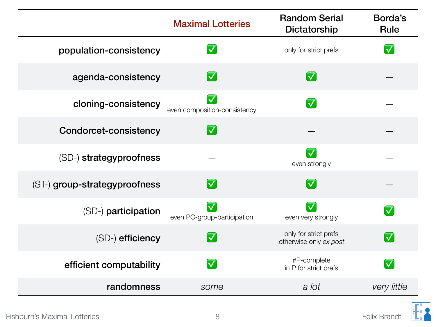|                               | <b>Maximal Lotteries</b>                                | <b>Random Serial</b><br>Dictatorship            | Borda's<br><b>Rule</b> |
|-------------------------------|---------------------------------------------------------|-------------------------------------------------|------------------------|
| population-consistency        | $ \bm{\nabla} $                                         | only for strict prefs                           |                        |
| agenda-consistency            | $ \bm{\nabla} $                                         | $ \bm{\nabla} $                                 |                        |
| cloning-consistency           | $\overline{\mathsf{v}}$<br>even composition-consistency | $\overline{\blacktriangledown}$                 |                        |
| <b>Condorcet-consistency</b>  | $\vert \blacktriangledown$                              |                                                 |                        |
| (SD-) strategyproofness       |                                                         | $\overline{\mathsf{v}}$<br>even strongly        |                        |
| (ST-) group-strategyproofness | $\vert \bm{\nabla}$                                     | $\vert \bm{\nabla}$                             |                        |
| (SD-) participation           | even PC-group-participation                             | $\checkmark$<br>even very strongly              |                        |
| (SD-) efficiency              | $ \bm{\nabla} $                                         | only for strict prefs<br>otherwise only ex post |                        |
| efficient computability       | $\overline{\mathsf{v}}$                                 | #P-complete<br>in P for strict prefs            |                        |
| randomness                    | some                                                    | a lot                                           | <i>very little</i>     |

R

 $\mathbf{L}_{\mathbf{L}}$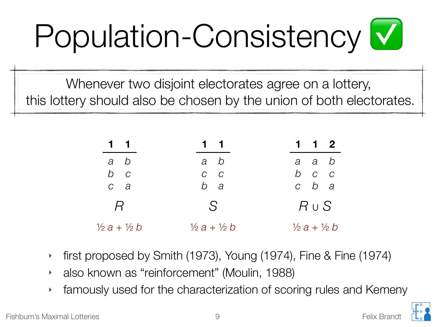## Population-Consistency ✅

Whenever two disjoint electorates agree on a lottery, this lottery should also be chosen by the union of both electorates.

| $1 \quad 1$                   | $1 \quad 1$                   | $1 \quad 1 \quad 2$           |
|-------------------------------|-------------------------------|-------------------------------|
| a b                           | a b                           | a a b                         |
| $b$ $c$                       | $C$ $C$                       | $b$ $c$ $c$                   |
| $c \quad a$                   | b a                           | $c$ $b$ $a$                   |
| $\overline{R}$                | S                             | $R \cup S$                    |
| $\frac{1}{2}a + \frac{1}{2}b$ | $\frac{1}{2}a + \frac{1}{2}b$ | $\frac{1}{2}a + \frac{1}{2}b$ |

- ‣ first proposed by Smith (1973), Young (1974), Fine & Fine (1974)
- ‣ also known as "reinforcement" (Moulin, 1988)
- ‣ famously used for the characterization of scoring rules and Kemeny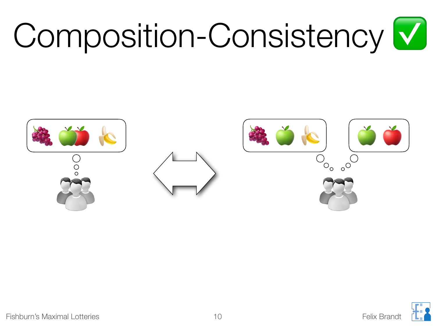# Composition-Consistency ✅

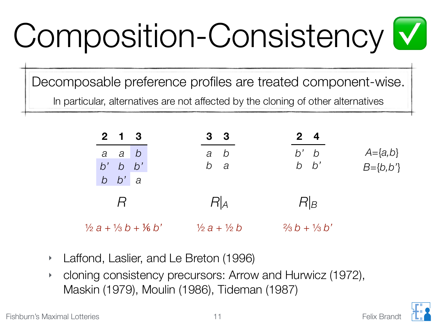# Composition-Consistency ✅

Decomposable preference profiles are treated component-wise. In particular, alternatives are not affected by the cloning of other alternatives

| $2 \quad 1 \quad 3$                           | 3 <sup>3</sup>                    | $2^{\circ}$                    |                                  |
|-----------------------------------------------|-----------------------------------|--------------------------------|----------------------------------|
| a a b<br>$b'$ b $b'$<br>$b$ $b'$ a            | a b<br>$b$ a                      | $b'$ $b$<br>$b\quad b'$        | $A = \{a,b\}$<br>$B = \{b, b'\}$ |
| $\overline{R}$                                | R A                               | $R _B$                         |                                  |
| $\frac{1}{2}a + \frac{1}{3}b + \frac{1}{6}b'$ | $\frac{1}{2}$ a + $\frac{1}{2}$ b | $\frac{2}{3}b + \frac{1}{3}b'$ |                                  |

- ‣ Laffond, Laslier, and Le Breton (1996)
- ‣ cloning consistency precursors: Arrow and Hurwicz (1972), Maskin (1979), Moulin (1986), Tideman (1987)

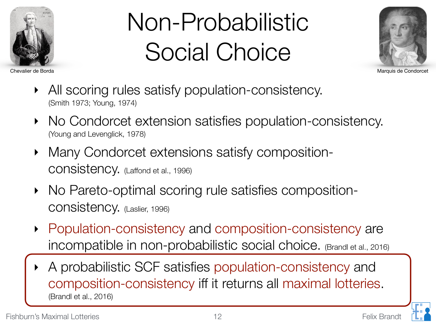

#### Non-Probabilistic Social Choice



Chevalier de Borda Marquis de Condorcet

- All scoring rules satisfy population-consistency. (Smith 1973; Young, 1974)
- No Condorcet extension satisfies population-consistency. (Young and Levenglick, 1978)
- Many Condorcet extensions satisfy compositionconsistency. (Laffond et al., 1996)
- ‣ No Pareto-optimal scoring rule satisfies compositionconsistency. (Laslier, 1996)
- ‣ Population-consistency and composition-consistency are incompatible in non-probabilistic social choice. (Brandl et al., 2016)
- ‣ A probabilistic SCF satisfies population-consistency and composition-consistency iff it returns all maximal lotteries. (Brandl et al., 2016)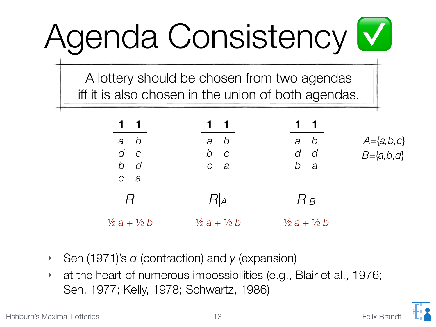# Agenda Consistency ✅

A lottery should be chosen from two agendas iff it is also chosen in the union of both agendas.

| $1 \quad 1$                                | 11                                | 1 1                               |                                      |
|--------------------------------------------|-----------------------------------|-----------------------------------|--------------------------------------|
| $a$ $b$<br>$d$ $c$<br>$b$ d<br>$c \quad a$ | $a$ $b$<br>$b$ $c$<br>$c \quad a$ | $a$ $b$<br>$d$ $d$<br>b a         | $A = \{a,b,c\}$<br>$B = \{a, b, c\}$ |
| $\overline{R}$                             | R A                               | $R _B$                            |                                      |
| $\frac{1}{2}a + \frac{1}{2}b$              | $\frac{1}{2}$ a + $\frac{1}{2}$ b | $\frac{1}{2}$ a + $\frac{1}{2}$ b |                                      |

- ‣ Sen (1971)'s *α* (contraction) and *γ* (expansion)
- ‣ at the heart of numerous impossibilities (e.g., Blair et al., 1976; Sen, 1977; Kelly, 1978; Schwartz, 1986)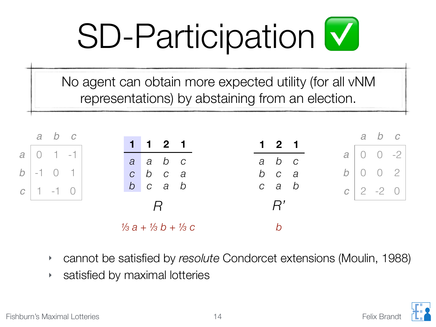## SD-Participation ✅

No agent can obtain more expected utility (for all vNM representations) by abstaining from an election.



- ‣ cannot be satisfied by *resolute* Condorcet extensions (Moulin, 1988)
- ‣ satisfied by maximal lotteries

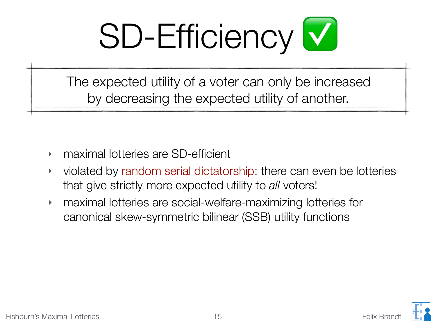

The expected utility of a voter can only be increased by decreasing the expected utility of another.

- ‣ maximal lotteries are SD-efficient
- ‣ violated by random serial dictatorship: there can even be lotteries that give strictly more expected utility to *all* voters!
- ‣ maximal lotteries are social-welfare-maximizing lotteries for canonical skew-symmetric bilinear (SSB) utility functions

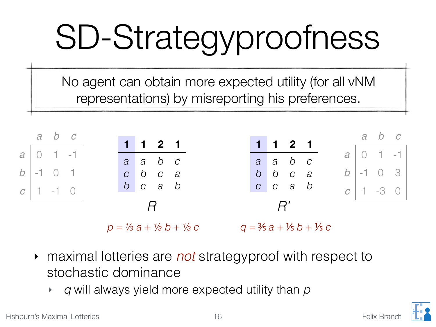# SD-Strategyproofness

No agent can obtain more expected utility (for all vNM representations) by misreporting his preferences.



- ‣ maximal lotteries are *not* strategyproof with respect to stochastic dominance
	- ‣ *q* will always yield more expected utility than *p*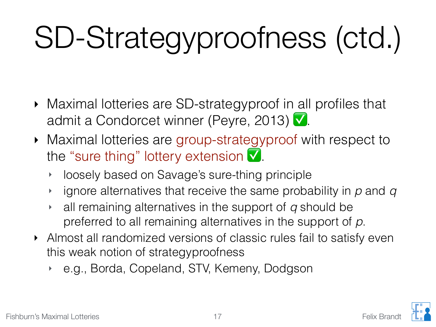#### SD-Strategyproofness (ctd.)

- ‣ Maximal lotteries are SD-strategyproof in all profiles that admit a Condorcet winner (Peyre, 2013) ✅.
- ‣ Maximal lotteries are group-strategyproof with respect to the "sure thing" lottery extension ✅.
	- ‣ loosely based on Savage's sure-thing principle
	- ‣ ignore alternatives that receive the same probability in *p* and *q*
	- ‣ all remaining alternatives in the support of *q* should be preferred to all remaining alternatives in the support of *p*.
- ‣ Almost all randomized versions of classic rules fail to satisfy even this weak notion of strategyproofness
	- ‣ e.g., Borda, Copeland, STV, Kemeny, Dodgson